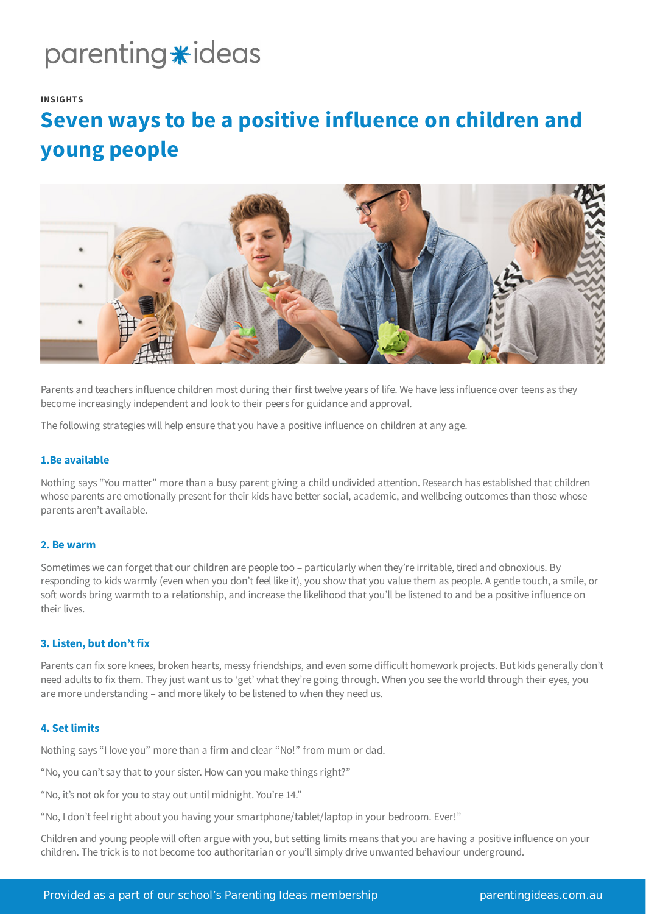# parenting \*ideas

#### **INSIGHTS**

# **Seven ways to be a positive influence on children and young people**



Parents and teachers influence children most during their first twelve years of life. We have less influence over teens as they become increasingly independent and look to their peers for guidance and approval.

The following strategies will help ensure that you have a positive influence on children at any age.

# **1.Be available**

Nothing says "You matter" more than a busy parent giving a child undivided attention. Research has established that children whose parents are emotionally present for their kids have better social, academic, and wellbeing outcomes than those whose parents aren't available.

#### **2. Be warm**

Sometimes we can forget that our children are people too – particularly when they're irritable, tired and obnoxious. By responding to kids warmly (even when you don't feel like it), you show that you value them as people. A gentle touch, a smile, or soft words bring warmth to a relationship, and increase the likelihood that you'll be listened to and be a positive influence on their lives.

### **3. Listen, but don't fix**

Parents can fix sore knees, broken hearts, messy friendships, and even some difficult homework projects. But kids generally don't need adults to fix them. They just want us to 'get' what they're going through. When you see the world through their eyes, you are more understanding – and more likely to be listened to when they need us.

#### **4. Setlimits**

Nothing says "I love you" more than a firm and clear "No!" from mum or dad.

"No, you can't say that to your sister. How can you make things right?"

"No, it's not ok for you to stay out until midnight. You're 14."

"No, I don't feel right about you having your smartphone/tablet/laptop in your bedroom. Ever!"

Children and young people will often argue with you, but setting limits means that you are having a positive influence on your children. The trick is to not become too authoritarian or you'll simply drive unwanted behaviour underground.